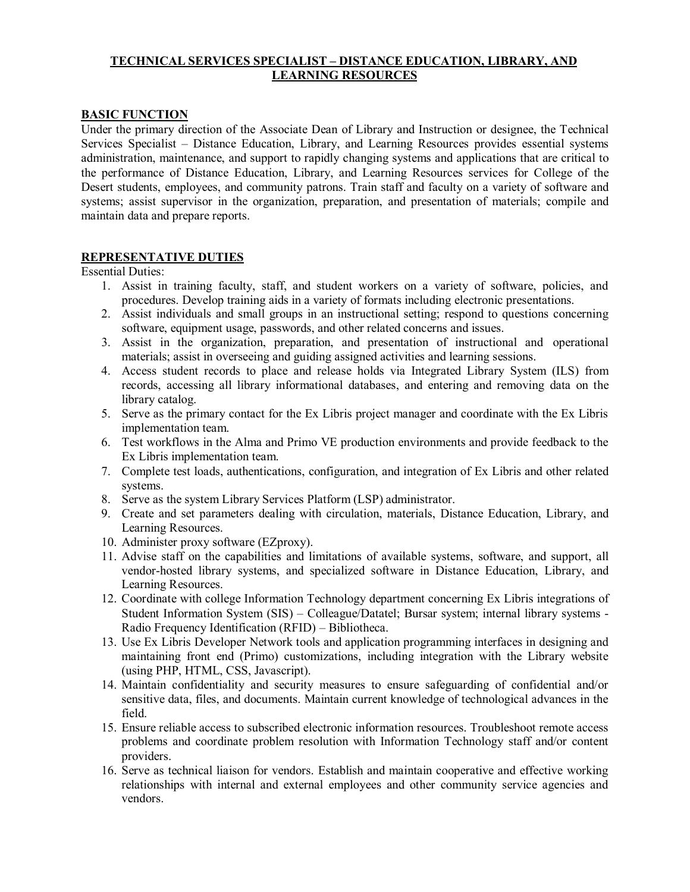# **TECHNICAL SERVICES SPECIALIST – DISTANCE EDUCATION, LIBRARY, AND LEARNING RESOURCES**

# **BASIC FUNCTION**

Under the primary direction of the Associate Dean of Library and Instruction or designee, the Technical Services Specialist – Distance Education, Library, and Learning Resources provides essential systems administration, maintenance, and support to rapidly changing systems and applications that are critical to the performance of Distance Education, Library, and Learning Resources services for College of the Desert students, employees, and community patrons. Train staff and faculty on a variety of software and systems; assist supervisor in the organization, preparation, and presentation of materials; compile and maintain data and prepare reports.

### **REPRESENTATIVE DUTIES**

Essential Duties:

- 1. Assist in training faculty, staff, and student workers on a variety of software, policies, and procedures. Develop training aids in a variety of formats including electronic presentations.
- 2. Assist individuals and small groups in an instructional setting; respond to questions concerning software, equipment usage, passwords, and other related concerns and issues.
- 3. Assist in the organization, preparation, and presentation of instructional and operational materials; assist in overseeing and guiding assigned activities and learning sessions.
- 4. Access student records to place and release holds via Integrated Library System (ILS) from records, accessing all library informational databases, and entering and removing data on the library catalog.
- 5. Serve as the primary contact for the Ex Libris project manager and coordinate with the Ex Libris implementation team.
- 6. Test workflows in the Alma and Primo VE production environments and provide feedback to the Ex Libris implementation team.
- 7. Complete test loads, authentications, configuration, and integration of Ex Libris and other related systems.
- 8. Serve as the system Library Services Platform (LSP) administrator.
- 9. Create and set parameters dealing with circulation, materials, Distance Education, Library, and Learning Resources.
- 10. Administer proxy software (EZproxy).
- 11. Advise staff on the capabilities and limitations of available systems, software, and support, all vendor-hosted library systems, and specialized software in Distance Education, Library, and Learning Resources.
- 12. Coordinate with college Information Technology department concerning Ex Libris integrations of Student Information System (SIS) – Colleague/Datatel; Bursar system; internal library systems - Radio Frequency Identification (RFID) – Bibliotheca.
- 13. Use Ex Libris Developer Network tools and application programming interfaces in designing and maintaining front end (Primo) customizations, including integration with the Library website (using PHP, HTML, CSS, Javascript).
- 14. Maintain confidentiality and security measures to ensure safeguarding of confidential and/or sensitive data, files, and documents. Maintain current knowledge of technological advances in the field.
- 15. Ensure reliable access to subscribed electronic information resources. Troubleshoot remote access problems and coordinate problem resolution with Information Technology staff and/or content providers.
- 16. Serve as technical liaison for vendors. Establish and maintain cooperative and effective working relationships with internal and external employees and other community service agencies and vendors.